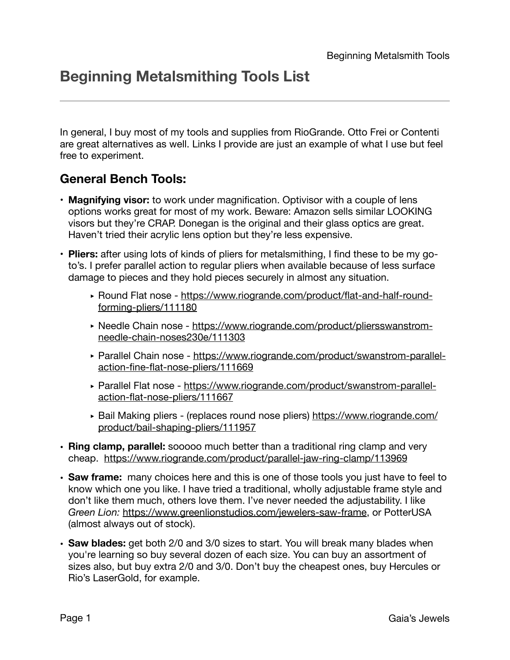## **Beginning Metalsmithing Tools List**

In general, I buy most of my tools and supplies from RioGrande. Otto Frei or Contenti are great alternatives as well. Links I provide are just an example of what I use but feel free to experiment.

## **General Bench Tools:**

- **Magnifying visor:** to work under magnification. Optivisor with a couple of lens options works great for most of my work. Beware: Amazon sells similar LOOKING visors but they're CRAP. Donegan is the original and their glass optics are great. Haven't tried their acrylic lens option but they're less expensive.
- **Pliers:** after using lots of kinds of pliers for metalsmithing, I find these to be my goto's. I prefer parallel action to regular pliers when available because of less surface damage to pieces and they hold pieces securely in almost any situation.
	- ‣ [Round Flat nose https://www.riogrande.com/product/flat-and-half-round](https://www.riogrande.com/product/flat-and-half-round-forming-pliers/111180)[forming-pliers/111180](https://www.riogrande.com/product/flat-and-half-round-forming-pliers/111180)
	- ‣ [Needle Chain nose https://www.riogrande.com/product/pliersswanstrom](https://www.riogrande.com/product/pliersswanstrom-needle-chain-noses230e/111303)[needle-chain-noses230e/111303](https://www.riogrande.com/product/pliersswanstrom-needle-chain-noses230e/111303)
	- ‣ [Parallel Chain nose https://www.riogrande.com/product/swanstrom-parallel](https://www.riogrande.com/product/swanstrom-parallel-action-fine-flat-nose-pliers/111669)[action-fine-flat-nose-pliers/111669](https://www.riogrande.com/product/swanstrom-parallel-action-fine-flat-nose-pliers/111669)
	- ‣ [Parallel Flat nose https://www.riogrande.com/product/swanstrom-parallel](https://www.riogrande.com/product/swanstrom-parallel-action-flat-nose-pliers/111667)[action-flat-nose-pliers/111667](https://www.riogrande.com/product/swanstrom-parallel-action-flat-nose-pliers/111667)
	- ► Bail Making pliers (replaces round nose pliers) [https://www.riogrande.com/](https://www.riogrande.com/product/bail-shaping-pliers/111957) [product/bail-shaping-pliers/111957](https://www.riogrande.com/product/bail-shaping-pliers/111957)
- **• Ring clamp, parallel:** sooooo much better than a traditional ring clamp and very cheap. <https://www.riogrande.com/product/parallel-jaw-ring-clamp/113969>
- **• Saw frame:** many choices here and this is one of those tools you just have to feel to know which one you like. I have tried a traditional, wholly adjustable frame style and don't like them much, others love them. I've never needed the adjustability. I like *Green Lion:* <https://www.greenlionstudios.com/jewelers-saw-frame>, or PotterUSA (almost always out of stock).
- **• Saw blades:** get both 2/0 and 3/0 sizes to start. You will break many blades when you're learning so buy several dozen of each size. You can buy an assortment of sizes also, but buy extra 2/0 and 3/0. Don't buy the cheapest ones, buy Hercules or Rio's LaserGold, for example.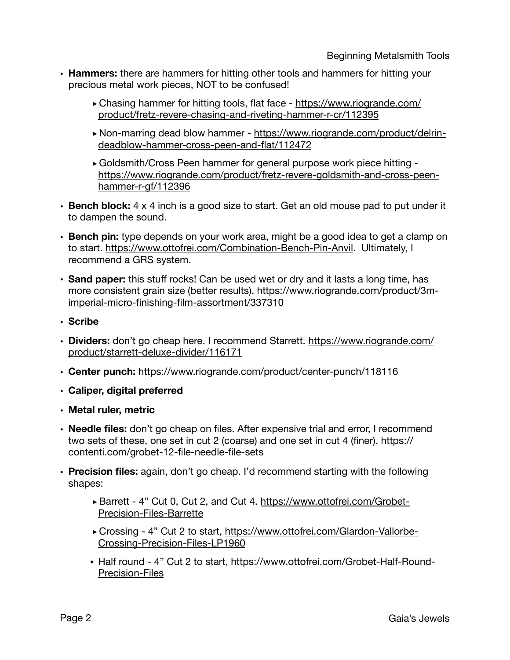- **• Hammers:** there are hammers for hitting other tools and hammers for hitting your precious metal work pieces, NOT to be confused!
	- **‣**Chasing hammer for hitting tools, flat face [https://www.riogrande.com/](https://www.riogrande.com/product/fretz-revere-chasing-and-riveting-hammer-r-cr/112395) [product/fretz-revere-chasing-and-riveting-hammer-r-cr/112395](https://www.riogrande.com/product/fretz-revere-chasing-and-riveting-hammer-r-cr/112395)
	- **‣**[Non-marring dead blow hammer https://www.riogrande.com/product/delrin](https://www.riogrande.com/product/delrin-deadblow-hammer-cross-peen-and-flat/112472)[deadblow-hammer-cross-peen-and-flat/112472](https://www.riogrande.com/product/delrin-deadblow-hammer-cross-peen-and-flat/112472)
	- **‣**Goldsmith/Cross Peen hammer for general purpose work piece hitting [https://www.riogrande.com/product/fretz-revere-goldsmith-and-cross-peen](https://www.riogrande.com/product/fretz-revere-goldsmith-and-cross-peen-hammer-r-gf/112396)[hammer-r-gf/112396](https://www.riogrande.com/product/fretz-revere-goldsmith-and-cross-peen-hammer-r-gf/112396)
- **• Bench block:** 4 x 4 inch is a good size to start. Get an old mouse pad to put under it to dampen the sound.
- **• Bench pin:** type depends on your work area, might be a good idea to get a clamp on to start.<https://www.ottofrei.com/Combination-Bench-Pin-Anvil>. Ultimately, I recommend a GRS system.
- **• Sand paper:** this stuff rocks! Can be used wet or dry and it lasts a long time, has [more consistent grain size \(better results\). https://www.riogrande.com/product/3m](https://www.riogrande.com/product/3m-imperial-micro-finishing-film-assortment/337310)[imperial-micro-finishing-film-assortment/337310](https://www.riogrande.com/product/3m-imperial-micro-finishing-film-assortment/337310)
- **• Scribe**
- **• Dividers:** don't go cheap here. I recommend Starrett. [https://www.riogrande.com/](https://www.riogrande.com/product/starrett-deluxe-divider/116171) [product/starrett-deluxe-divider/116171](https://www.riogrande.com/product/starrett-deluxe-divider/116171)
- **• Center punch:** <https://www.riogrande.com/product/center-punch/118116>
- **• Caliper, digital preferred**
- **• Metal ruler, metric**
- **• Needle files:** don't go cheap on files. After expensive trial and error, I recommend two sets of these, one set in cut 2 (coarse) and one set in cut 4 (finer). [https://](https://contenti.com/grobet-12-file-needle-file-sets) [contenti.com/grobet-12-file-needle-file-sets](https://contenti.com/grobet-12-file-needle-file-sets)
- **• Precision files:** again, don't go cheap. I'd recommend starting with the following shapes:
	- **‣**Barrett 4" Cut 0, Cut 2, and Cut 4. [https://www.ottofrei.com/Grobet-](https://www.ottofrei.com/Grobet-Precision-Files-Barrette)[Precision-Files-Barrette](https://www.ottofrei.com/Grobet-Precision-Files-Barrette)
	- **‣**[Crossing 4" Cut 2 to start, https://www.ottofrei.com/Glardon-Vallorbe-](https://www.ottofrei.com/Glardon-Vallorbe-Crossing-Precision-Files-LP1960)[Crossing-Precision-Files-LP1960](https://www.ottofrei.com/Glardon-Vallorbe-Crossing-Precision-Files-LP1960)
	- ‣ Half round 4" Cut 2 to start, [https://www.ottofrei.com/Grobet-Half-Round-](https://www.ottofrei.com/Grobet-Half-Round-Precision-Files)[Precision-Files](https://www.ottofrei.com/Grobet-Half-Round-Precision-Files)